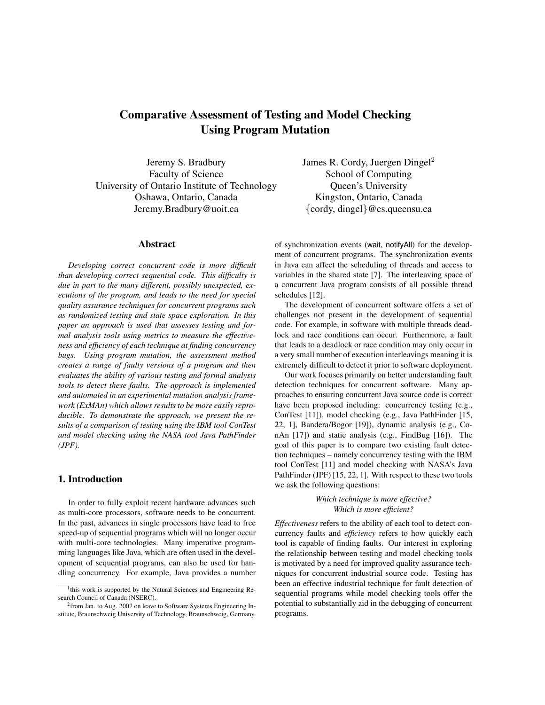# Comparative Assessment of Testing and Model Checking Using Program Mutation

Jeremy S. Bradbury Faculty of Science University of Ontario Institute of Technology Oshawa, Ontario, Canada Jeremy.Bradbury@uoit.ca

#### Abstract

*Developing correct concurrent code is more difficult than developing correct sequential code. This difficulty is due in part to the many different, possibly unexpected, executions of the program, and leads to the need for special quality assurance techniques for concurrent programs such as randomized testing and state space exploration. In this paper an approach is used that assesses testing and formal analysis tools using metrics to measure the effectiveness and efficiency of each technique at finding concurrency bugs. Using program mutation, the assessment method creates a range of faulty versions of a program and then evaluates the ability of various testing and formal analysis tools to detect these faults. The approach is implemented and automated in an experimental mutation analysis framework (ExMAn) which allows results to be more easily reproducible. To demonstrate the approach, we present the results of a comparison of testing using the IBM tool ConTest and model checking using the NASA tool Java PathFinder (JPF).*

# 1. Introduction

In order to fully exploit recent hardware advances such as multi-core processors, software needs to be concurrent. In the past, advances in single processors have lead to free speed-up of sequential programs which will no longer occur with multi-core technologies. Many imperative programming languages like Java, which are often used in the development of sequential programs, can also be used for handling concurrency. For example, Java provides a number James R. Cordy, Juergen Dingel<sup>2</sup> School of Computing Queen's University Kingston, Ontario, Canada {cordy, dingel}@cs.queensu.ca

of synchronization events (wait, notifyAll) for the development of concurrent programs. The synchronization events in Java can affect the scheduling of threads and access to variables in the shared state [7]. The interleaving space of a concurrent Java program consists of all possible thread schedules [12].

The development of concurrent software offers a set of challenges not present in the development of sequential code. For example, in software with multiple threads deadlock and race conditions can occur. Furthermore, a fault that leads to a deadlock or race condition may only occur in a very small number of execution interleavings meaning it is extremely difficult to detect it prior to software deployment.

Our work focuses primarily on better understanding fault detection techniques for concurrent software. Many approaches to ensuring concurrent Java source code is correct have been proposed including: concurrency testing (e.g., ConTest [11]), model checking (e.g., Java PathFinder [15, 22, 1], Bandera/Bogor [19]), dynamic analysis (e.g., ConAn [17]) and static analysis (e.g., FindBug [16]). The goal of this paper is to compare two existing fault detection techniques – namely concurrency testing with the IBM tool ConTest [11] and model checking with NASA's Java PathFinder (JPF) [15, 22, 1]. With respect to these two tools we ask the following questions:

> *Which technique is more effective? Which is more efficient?*

*Effectiveness* refers to the ability of each tool to detect concurrency faults and *efficiency* refers to how quickly each tool is capable of finding faults. Our interest in exploring the relationship between testing and model checking tools is motivated by a need for improved quality assurance techniques for concurrent industrial source code. Testing has been an effective industrial technique for fault detection of sequential programs while model checking tools offer the potential to substantially aid in the debugging of concurrent programs.

 $<sup>1</sup>$ this work is supported by the Natural Sciences and Engineering Re-</sup> search Council of Canada (NSERC).

<sup>&</sup>lt;sup>2</sup> from Jan. to Aug. 2007 on leave to Software Systems Engineering Institute, Braunschweig University of Technology, Braunschweig, Germany.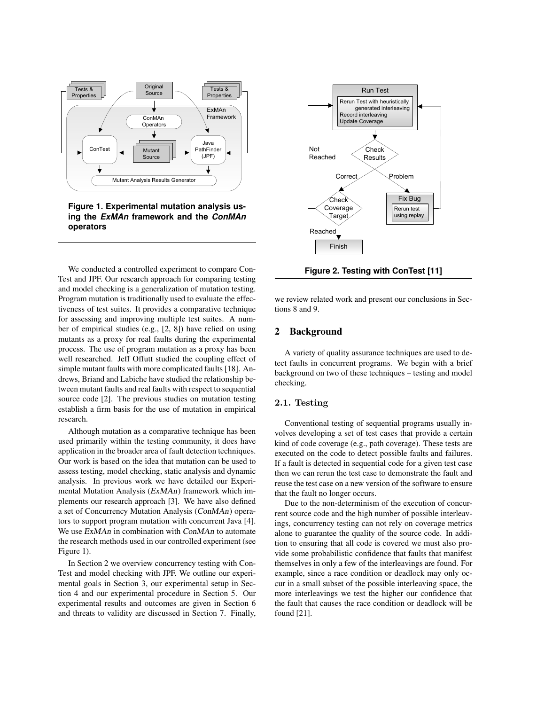

**Figure 1. Experimental mutation analysis using the** *ExMAn* **framework and the** *ConMAn* **operators**

We conducted a controlled experiment to compare Con-Test and JPF. Our research approach for comparing testing and model checking is a generalization of mutation testing. Program mutation is traditionally used to evaluate the effectiveness of test suites. It provides a comparative technique for assessing and improving multiple test suites. A number of empirical studies (e.g., [2, 8]) have relied on using mutants as a proxy for real faults during the experimental process. The use of program mutation as a proxy has been well researched. Jeff Offutt studied the coupling effect of simple mutant faults with more complicated faults [18]. Andrews, Briand and Labiche have studied the relationship between mutant faults and real faults with respect to sequential source code [2]. The previous studies on mutation testing establish a firm basis for the use of mutation in empirical research.

Although mutation as a comparative technique has been used primarily within the testing community, it does have application in the broader area of fault detection techniques. Our work is based on the idea that mutation can be used to assess testing, model checking, static analysis and dynamic analysis. In previous work we have detailed our Experimental Mutation Analysis (*ExMAn*) framework which implements our research approach [3]. We have also defined a set of Concurrency Mutation Analysis (*ConMAn*) operators to support program mutation with concurrent Java [4]. We use *ExMAn* in combination with *ConMAn* to automate the research methods used in our controlled experiment (see Figure 1).

In Section 2 we overview concurrency testing with Con-Test and model checking with JPF. We outline our experimental goals in Section 3, our experimental setup in Section 4 and our experimental procedure in Section 5. Our experimental results and outcomes are given in Section 6 and threats to validity are discussed in Section 7. Finally,



**Figure 2. Testing with ConTest [11]**

we review related work and present our conclusions in Sections 8 and 9.

## 2 Background

A variety of quality assurance techniques are used to detect faults in concurrent programs. We begin with a brief background on two of these techniques – testing and model checking.

## **2.1. Testing**

Conventional testing of sequential programs usually involves developing a set of test cases that provide a certain kind of code coverage (e.g., path coverage). These tests are executed on the code to detect possible faults and failures. If a fault is detected in sequential code for a given test case then we can rerun the test case to demonstrate the fault and reuse the test case on a new version of the software to ensure that the fault no longer occurs.

Due to the non-determinism of the execution of concurrent source code and the high number of possible interleavings, concurrency testing can not rely on coverage metrics alone to guarantee the quality of the source code. In addition to ensuring that all code is covered we must also provide some probabilistic confidence that faults that manifest themselves in only a few of the interleavings are found. For example, since a race condition or deadlock may only occur in a small subset of the possible interleaving space, the more interleavings we test the higher our confidence that the fault that causes the race condition or deadlock will be found [21].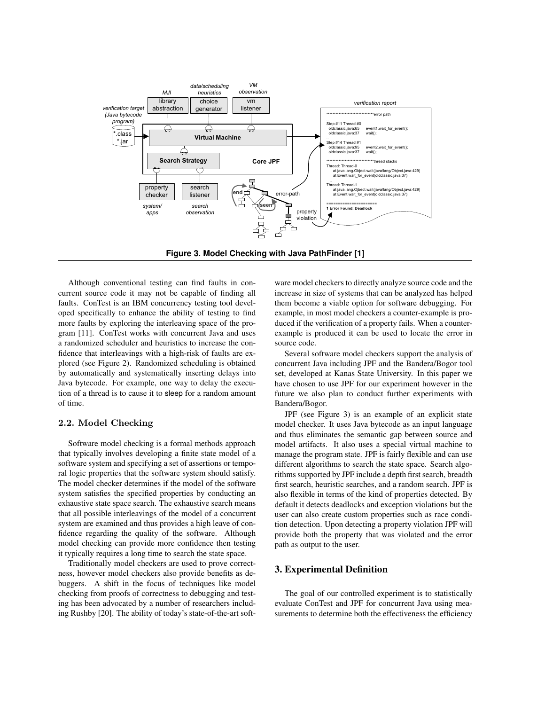

**Figure 3. Model Checking with Java PathFinder [1]**

Although conventional testing can find faults in concurrent source code it may not be capable of finding all faults. ConTest is an IBM concurrency testing tool developed specifically to enhance the ability of testing to find more faults by exploring the interleaving space of the program [11]. ConTest works with concurrent Java and uses a randomized scheduler and heuristics to increase the confidence that interleavings with a high-risk of faults are explored (see Figure 2). Randomized scheduling is obtained by automatically and systematically inserting delays into Java bytecode. For example, one way to delay the execution of a thread is to cause it to sleep for a random amount of time.

#### **2.2. Model Checking**

Software model checking is a formal methods approach that typically involves developing a finite state model of a software system and specifying a set of assertions or temporal logic properties that the software system should satisfy. The model checker determines if the model of the software system satisfies the specified properties by conducting an exhaustive state space search. The exhaustive search means that all possible interleavings of the model of a concurrent system are examined and thus provides a high leave of confidence regarding the quality of the software. Although model checking can provide more confidence then testing it typically requires a long time to search the state space.

Traditionally model checkers are used to prove correctness, however model checkers also provide benefits as debuggers. A shift in the focus of techniques like model checking from proofs of correctness to debugging and testing has been advocated by a number of researchers including Rushby [20]. The ability of today's state-of-the-art software model checkers to directly analyze source code and the increase in size of systems that can be analyzed has helped them become a viable option for software debugging. For example, in most model checkers a counter-example is produced if the verification of a property fails. When a counterexample is produced it can be used to locate the error in source code.

Several software model checkers support the analysis of concurrent Java including JPF and the Bandera/Bogor tool set, developed at Kanas State University. In this paper we have chosen to use JPF for our experiment however in the future we also plan to conduct further experiments with Bandera/Bogor.

JPF (see Figure 3) is an example of an explicit state model checker. It uses Java bytecode as an input language and thus eliminates the semantic gap between source and model artifacts. It also uses a special virtual machine to manage the program state. JPF is fairly flexible and can use different algorithms to search the state space. Search algorithms supported by JPF include a depth first search, breadth first search, heuristic searches, and a random search. JPF is also flexible in terms of the kind of properties detected. By default it detects deadlocks and exception violations but the user can also create custom properties such as race condition detection. Upon detecting a property violation JPF will provide both the property that was violated and the error path as output to the user.

## 3. Experimental Definition

The goal of our controlled experiment is to statistically evaluate ConTest and JPF for concurrent Java using measurements to determine both the effectiveness the efficiency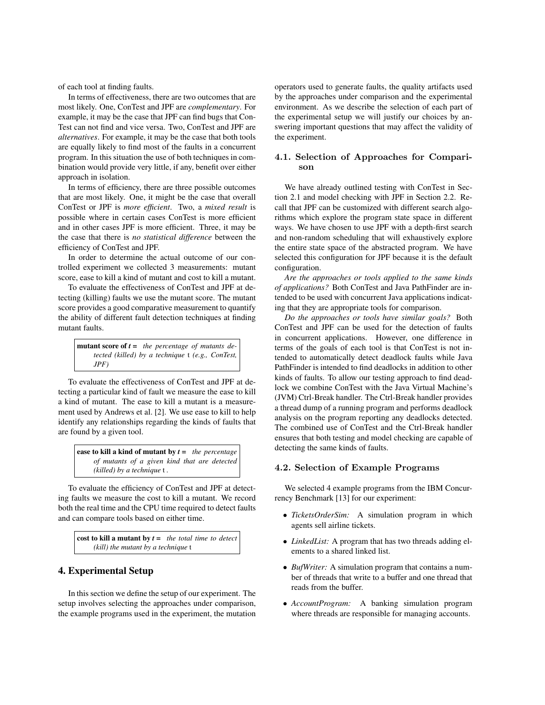of each tool at finding faults.

In terms of effectiveness, there are two outcomes that are most likely. One, ConTest and JPF are *complementary*. For example, it may be the case that JPF can find bugs that Con-Test can not find and vice versa. Two, ConTest and JPF are *alternatives*. For example, it may be the case that both tools are equally likely to find most of the faults in a concurrent program. In this situation the use of both techniques in combination would provide very little, if any, benefit over either approach in isolation.

In terms of efficiency, there are three possible outcomes that are most likely. One, it might be the case that overall ConTest or JPF is *more efficient*. Two, a *mixed result* is possible where in certain cases ConTest is more efficient and in other cases JPF is more efficient. Three, it may be the case that there is *no statistical difference* between the efficiency of ConTest and JPF.

In order to determine the actual outcome of our controlled experiment we collected 3 measurements: mutant score, ease to kill a kind of mutant and cost to kill a mutant.

To evaluate the effectiveness of ConTest and JPF at detecting (killing) faults we use the mutant score. The mutant score provides a good comparative measurement to quantify the ability of different fault detection techniques at finding mutant faults.

mutant score of *t* = *the percentage of mutants detected (killed) by a technique* t *(e.g., ConTest, JPF)*

To evaluate the effectiveness of ConTest and JPF at detecting a particular kind of fault we measure the ease to kill a kind of mutant. The ease to kill a mutant is a measurement used by Andrews et al. [2]. We use ease to kill to help identify any relationships regarding the kinds of faults that are found by a given tool.

ease to kill a kind of mutant by *t* = *the percentage of mutants of a given kind that are detected (killed) by a technique* t *.*

To evaluate the efficiency of ConTest and JPF at detecting faults we measure the cost to kill a mutant. We record both the real time and the CPU time required to detect faults and can compare tools based on either time.

```
cost to kill a mutant by t = the total time to detect
(kill) the mutant by a technique t
```
## 4. Experimental Setup

In this section we define the setup of our experiment. The setup involves selecting the approaches under comparison, the example programs used in the experiment, the mutation operators used to generate faults, the quality artifacts used by the approaches under comparison and the experimental environment. As we describe the selection of each part of the experimental setup we will justify our choices by answering important questions that may affect the validity of the experiment.

## **4.1. Selection of Approaches for Comparison**

We have already outlined testing with ConTest in Section 2.1 and model checking with JPF in Section 2.2. Recall that JPF can be customized with different search algorithms which explore the program state space in different ways. We have chosen to use JPF with a depth-first search and non-random scheduling that will exhaustively explore the entire state space of the abstracted program. We have selected this configuration for JPF because it is the default configuration.

*Are the approaches or tools applied to the same kinds of applications?* Both ConTest and Java PathFinder are intended to be used with concurrent Java applications indicating that they are appropriate tools for comparison.

*Do the approaches or tools have similar goals?* Both ConTest and JPF can be used for the detection of faults in concurrent applications. However, one difference in terms of the goals of each tool is that ConTest is not intended to automatically detect deadlock faults while Java PathFinder is intended to find deadlocks in addition to other kinds of faults. To allow our testing approach to find deadlock we combine ConTest with the Java Virtual Machine's (JVM) Ctrl-Break handler. The Ctrl-Break handler provides a thread dump of a running program and performs deadlock analysis on the program reporting any deadlocks detected. The combined use of ConTest and the Ctrl-Break handler ensures that both testing and model checking are capable of detecting the same kinds of faults.

## **4.2. Selection of Example Programs**

We selected 4 example programs from the IBM Concurrency Benchmark [13] for our experiment:

- *TicketsOrderSim:* A simulation program in which agents sell airline tickets.
- *LinkedList:* A program that has two threads adding elements to a shared linked list.
- *BufWriter:* A simulation program that contains a number of threads that write to a buffer and one thread that reads from the buffer.
- *AccountProgram:* A banking simulation program where threads are responsible for managing accounts.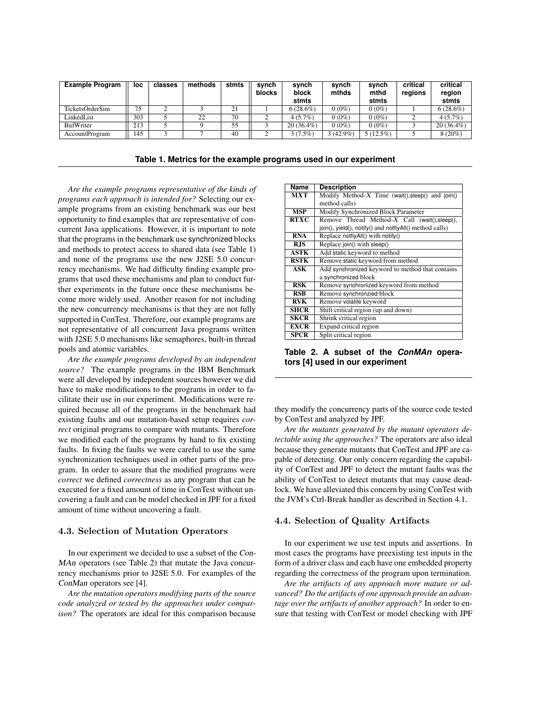| <b>Example Program</b> | loc | classes | methods | stmts | svnch  | svnch        | svnch       | svnch    | critical | critical     |
|------------------------|-----|---------|---------|-------|--------|--------------|-------------|----------|----------|--------------|
|                        |     |         |         |       | blocks | block        | mthds       | mthd     | regions  | region       |
|                        |     |         |         |       |        | stmts        |             | stmts    |          | stmts        |
| TicketsOrderSim        | 75  |         |         | 21    |        | $6(28.6\%)$  | $0(0\%)$    | $0(0\%)$ |          | $6(28.6\%)$  |
| LinkedList             | 303 |         | 22      | 70    |        | $4(5.7\%)$   | $0(0\%)$    | $0(0\%)$ |          | $4(5.7\%)$   |
| <b>BufWriter</b>       | 213 |         |         | 55    |        | $20(36.4\%)$ | $0(0\%)$    | $0(0\%)$ |          | $20(36.4\%)$ |
| <b>AccountProgram</b>  | 145 |         |         | 40    |        | $3(7.5\%)$   | $3(42.9\%)$ | 5(12.5%) |          | $8(20\%)$    |

**Table 1. Metrics for the example programs used in our experiment**

*Are the example programs representative of the kinds of programs each approach is intended for?* Selecting our example programs from an existing benchmark was our best opportunity to find examples that are representative of concurrent Java applications. However, it is important to note that the programs in the benchmark use synchronized blocks and methods to protect access to shared data (see Table 1) and none of the programs use the new J2SE 5.0 concurrency mechanisms. We had difficulty finding example programs that used these mechanisms and plan to conduct further experiments in the future once these mechanisms become more widely used. Another reason for not including the new concurrency mechanisms is that they are not fully supported in ConTest. Therefore, our example programs are not representative of all concurrent Java programs written with J2SE 5.0 mechanisms like semaphores, built-in thread pools and atomic variables.

*Are the example programs developed by an independent source?* The example programs in the IBM Benchmark were all developed by independent sources however we did have to make modifications to the programs in order to facilitate their use in our experiment. Modifications were required because all of the programs in the benchmark had existing faults and our mutation-based setup requires *correct* original programs to compare with mutants. Therefore we modified each of the programs by hand to fix existing faults. In fixing the faults we were careful to use the same synchronization techniques used in other parts of the program. In order to assure that the modified programs were *correct* we defined *correctness* as any program that can be executed for a fixed amount of time in ConTest without uncovering a fault and can be model checked in JPF for a fixed amount of time without uncovering a fault.

#### **4.3. Selection of Mutation Operators**

In our experiment we decided to use a subset of the *Con-MAn* operators (see Table 2) that mutate the Java concurrency mechanisms prior to J2SE 5.0. For examples of the *ConMan* operators see [4].

*Are the mutation operators modifying parts of the source code analyzed or tested by the approaches under comparison?* The operators are ideal for this comparison because

| Name        | <b>Description</b>                                      |
|-------------|---------------------------------------------------------|
| <b>MXT</b>  | Modify Method-X Time (wait(), sleep() and join()        |
|             | method calls)                                           |
| <b>MSP</b>  | Modify Synchronized Block Parameter                     |
| RTXC        | Remove Thread Method-X Call (wait(), sleep(),           |
|             | join(), yield(), notify() and notfiyAll() method calls) |
| <b>RNA</b>  | Replace notfiyAll() with notify()                       |
| <b>RJS</b>  | Replace join() with sleep()                             |
| <b>ASTK</b> | Add static keyword to method                            |
| <b>RSTK</b> | Remove static keyword from method                       |
| ASK         | Add synchronized keyword to method that contains        |
|             | a synchronized block                                    |
| <b>RSK</b>  | Remove synchronized keyword from method                 |
| <b>RSB</b>  | Remove synchronzied block                               |
| <b>RVK</b>  | Remove volatile keyword                                 |
| <b>SHCR</b> | Shift critical region (up and down)                     |
| <b>SKCR</b> | Shrink critical region                                  |
| <b>EXCR</b> | Expand critical region                                  |
| <b>SPCR</b> | Split critical region                                   |

**Table 2. A subset of the** *ConMAn* **operators [4] used in our experiment**

they modify the concurrency parts of the source code tested by ConTest and analyzed by JPF.

*Are the mutants generated by the mutant operators detectable using the approaches?* The operators are also ideal because they generate mutants that ConTest and JPF are capable of detecting. Our only concern regarding the capability of ConTest and JPF to detect the mutant faults was the ability of ConTest to detect mutants that may cause deadlock. We have alleviated this concern by using ConTest with the JVM's Ctrl-Break handler as described in Section 4.1.

#### **4.4. Selection of Quality Artifacts**

In our experiment we use test inputs and assertions. In most cases the programs have preexisting test inputs in the form of a driver class and each have one embedded property regarding the correctness of the program upon termination.

*Are the artifacts of any approach more mature or advanced? Do the artifacts of one approach provide an advantage over the artifacts of another approach?* In order to ensure that testing with ConTest or model checking with JPF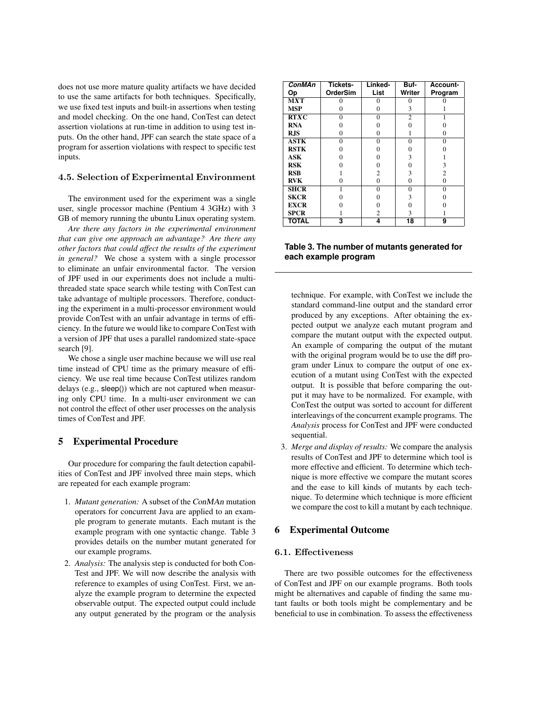does not use more mature quality artifacts we have decided to use the same artifacts for both techniques. Specifically, we use fixed test inputs and built-in assertions when testing and model checking. On the one hand, ConTest can detect assertion violations at run-time in addition to using test inputs. On the other hand, JPF can search the state space of a program for assertion violations with respect to specific test inputs.

## **4.5. Selection of Experimental Environment**

The environment used for the experiment was a single user, single processor machine (Pentium 4 3GHz) with 3 GB of memory running the ubuntu Linux operating system.

*Are there any factors in the experimental environment that can give one approach an advantage? Are there any other factors that could affect the results of the experiment in general?* We chose a system with a single processor to eliminate an unfair environmental factor. The version of JPF used in our experiments does not include a multithreaded state space search while testing with ConTest can take advantage of multiple processors. Therefore, conducting the experiment in a multi-processor environment would provide ConTest with an unfair advantage in terms of efficiency. In the future we would like to compare ConTest with a version of JPF that uses a parallel randomized state-space search [9].

We chose a single user machine because we will use real time instead of CPU time as the primary measure of efficiency. We use real time because ConTest utilizes random delays (e.g., sleep()) which are not captured when measuring only CPU time. In a multi-user environment we can not control the effect of other user processes on the analysis times of ConTest and JPF.

## 5 Experimental Procedure

Our procedure for comparing the fault detection capabilities of ConTest and JPF involved three main steps, which are repeated for each example program:

- 1. *Mutant generation:* A subset of the *ConMAn* mutation operators for concurrent Java are applied to an example program to generate mutants. Each mutant is the example program with one syntactic change. Table 3 provides details on the number mutant generated for our example programs.
- 2. *Analysis:* The analysis step is conducted for both Con-Test and JPF. We will now describe the analysis with reference to examples of using ConTest. First, we analyze the example program to determine the expected observable output. The expected output could include any output generated by the program or the analysis

| <b>ConMAn</b> | Tickets-        | Linked-        | Buf-           | <b>Account-</b> |  |
|---------------|-----------------|----------------|----------------|-----------------|--|
| Op            | <b>OrderSim</b> | List           | Writer         | Program         |  |
| MXT           | 0               | 0              | 0              |                 |  |
| <b>MSP</b>    | $\theta$        | 0              | 3              |                 |  |
| <b>RTXC</b>   | $\Omega$        | $\Omega$       | $\overline{2}$ |                 |  |
| <b>RNA</b>    | 0               | 0              | $\Omega$       |                 |  |
| <b>RJS</b>    | $\theta$        | 0              |                | 0               |  |
| <b>ASTK</b>   | $\overline{0}$  | $\Omega$       | $\theta$       | $\Omega$        |  |
| <b>RSTK</b>   | 0               | 0              | $\theta$       |                 |  |
| ASK           | 0               | 0              | 3              |                 |  |
| <b>RSK</b>    | O               | 0              | $\theta$       | 3               |  |
| <b>RSB</b>    |                 | $\overline{c}$ | 3              | $\overline{c}$  |  |
| <b>RVK</b>    | 0               | $\theta$       | $\theta$       | $\theta$        |  |
| <b>SHCR</b>   |                 | $\Omega$       | $\overline{0}$ | $\Omega$        |  |
| <b>SKCR</b>   | 0               | 0              | 3              |                 |  |
| <b>EXCR</b>   | 0               | 0              | $\Omega$       |                 |  |
| <b>SPCR</b>   |                 | 2              | 3              |                 |  |
| <b>TOTAL</b>  | 3               | 4              | 18             | 9               |  |

## **Table 3. The number of mutants generated for each example program**

technique. For example, with ConTest we include the standard command-line output and the standard error produced by any exceptions. After obtaining the expected output we analyze each mutant program and compare the mutant output with the expected output. An example of comparing the output of the mutant with the original program would be to use the diff program under Linux to compare the output of one execution of a mutant using ConTest with the expected output. It is possible that before comparing the output it may have to be normalized. For example, with ConTest the output was sorted to account for different interleavings of the concurrent example programs. The *Analysis* process for ConTest and JPF were conducted sequential.

3. *Merge and display of results:* We compare the analysis results of ConTest and JPF to determine which tool is more effective and efficient. To determine which technique is more effective we compare the mutant scores and the ease to kill kinds of mutants by each technique. To determine which technique is more efficient we compare the cost to kill a mutant by each technique.

#### 6 Experimental Outcome

## **6.1. Effectiveness**

There are two possible outcomes for the effectiveness of ConTest and JPF on our example programs. Both tools might be alternatives and capable of finding the same mutant faults or both tools might be complementary and be beneficial to use in combination. To assess the effectiveness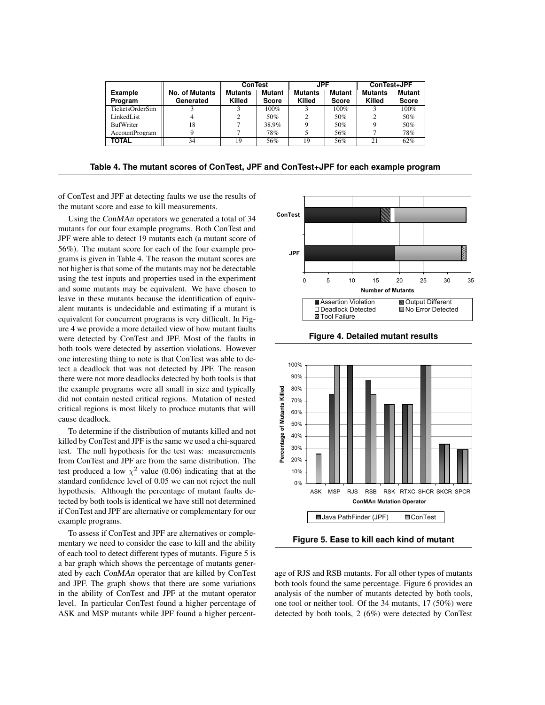|                       |                       | <b>ConTest</b> |               | <b>JPF</b>     |               | ConTest+JPF    |               |
|-----------------------|-----------------------|----------------|---------------|----------------|---------------|----------------|---------------|
| <b>Example</b>        | <b>No. of Mutants</b> | <b>Mutants</b> | <b>Mutant</b> | <b>Mutants</b> | <b>Mutant</b> | <b>Mutants</b> | <b>Mutant</b> |
| Program               | Generated             | Killed         | <b>Score</b>  | Killed         | <b>Score</b>  | Killed         | <b>Score</b>  |
| TicketsOrderSim       |                       |                | $100\%$       |                | $100\%$       |                | 100%          |
| LinkedList            |                       | ↑              | 50%           |                | 50%           |                | 50%           |
| <b>BufWriter</b>      | 18                    |                | 38.9%         |                | 50%           |                | 50%           |
| <b>AccountProgram</b> |                       |                | 78%           |                | 56%           |                | 78%           |
| TOTAL                 | 34                    | 19             | 56%           | 19             | 56%           | 21             | 62%           |

**Table 4. The mutant scores of ConTest, JPF and ConTest+JPF for each example program**

of ConTest and JPF at detecting faults we use the results of the mutant score and ease to kill measurements.

Using the *ConMAn* operators we generated a total of 34 mutants for our four example programs. Both ConTest and JPF were able to detect 19 mutants each (a mutant score of 56%). The mutant score for each of the four example programs is given in Table 4. The reason the mutant scores are not higher is that some of the mutants may not be detectable using the test inputs and properties used in the experiment and some mutants may be equivalent. We have chosen to leave in these mutants because the identification of equivalent mutants is undecidable and estimating if a mutant is equivalent for concurrent programs is very difficult. In Figure 4 we provide a more detailed view of how mutant faults were detected by ConTest and JPF. Most of the faults in both tools were detected by assertion violations. However one interesting thing to note is that ConTest was able to detect a deadlock that was not detected by JPF. The reason there were not more deadlocks detected by both tools is that the example programs were all small in size and typically did not contain nested critical regions. Mutation of nested critical regions is most likely to produce mutants that will cause deadlock.

To determine if the distribution of mutants killed and not killed by ConTest and JPF is the same we used a chi-squared test. The null hypothesis for the test was: measurements from ConTest and JPF are from the same distribution. The test produced a low  $\chi^2$  value (0.06) indicating that at the standard confidence level of 0.05 we can not reject the null hypothesis. Although the percentage of mutant faults detected by both tools is identical we have still not determined if ConTest and JPF are alternative or complementary for our example programs.

To assess if ConTest and JPF are alternatives or complementary we need to consider the ease to kill and the ability of each tool to detect different types of mutants. Figure 5 is a bar graph which shows the percentage of mutants generated by each *ConMAn* operator that are killed by ConTest and JPF. The graph shows that there are some variations in the ability of ConTest and JPF at the mutant operator level. In particular ConTest found a higher percentage of ASK and MSP mutants while JPF found a higher percent-





**Figure 4. Detailed mutant results**

**Figure 5. Ease to kill each kind of mutant**

age of RJS and RSB mutants. For all other types of mutants both tools found the same percentage. Figure 6 provides an analysis of the number of mutants detected by both tools, one tool or neither tool. Of the 34 mutants, 17 (50%) were detected by both tools, 2 (6%) were detected by ConTest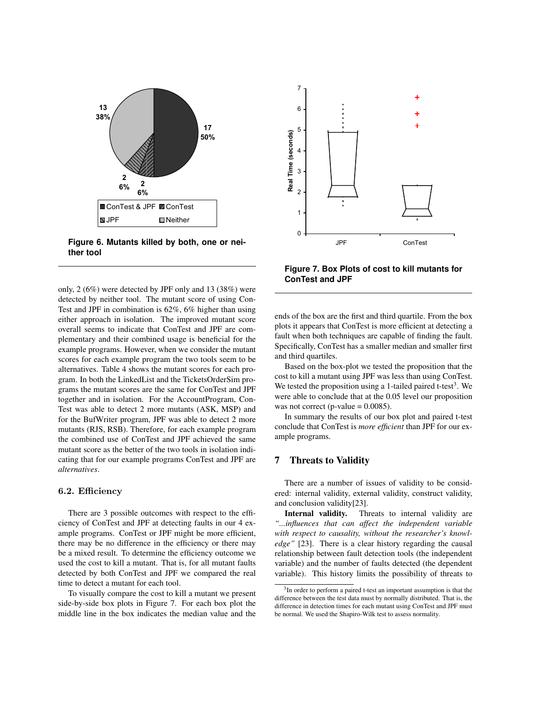

**Figure 6. Mutants killed by both, one or neither tool**

only, 2 (6%) were detected by JPF only and 13 (38%) were detected by neither tool. The mutant score of using Con-Test and JPF in combination is 62%, 6% higher than using either approach in isolation. The improved mutant score overall seems to indicate that ConTest and JPF are complementary and their combined usage is beneficial for the example programs. However, when we consider the mutant scores for each example program the two tools seem to be alternatives. Table 4 shows the mutant scores for each program. In both the LinkedList and the TicketsOrderSim programs the mutant scores are the same for ConTest and JPF together and in isolation. For the AccountProgram, Con-Test was able to detect 2 more mutants (ASK, MSP) and for the BufWriter program, JPF was able to detect 2 more mutants (RJS, RSB). Therefore, for each example program the combined use of ConTest and JPF achieved the same mutant score as the better of the two tools in isolation indicating that for our example programs ConTest and JPF are *alternatives*.

## **6.2. Efficiency**

There are 3 possible outcomes with respect to the efficiency of ConTest and JPF at detecting faults in our 4 example programs. ConTest or JPF might be more efficient, there may be no difference in the efficiency or there may be a mixed result. To determine the efficiency outcome we used the cost to kill a mutant. That is, for all mutant faults detected by both ConTest and JPF we compared the real time to detect a mutant for each tool.

To visually compare the cost to kill a mutant we present side-by-side box plots in Figure 7. For each box plot the middle line in the box indicates the median value and the



**Figure 7. Box Plots of cost to kill mutants for ConTest and JPF**

ends of the box are the first and third quartile. From the box plots it appears that ConTest is more efficient at detecting a fault when both techniques are capable of finding the fault. Specifically, ConTest has a smaller median and smaller first and third quartiles.

Based on the box-plot we tested the proposition that the cost to kill a mutant using JPF was less than using ConTest. We tested the proposition using a 1-tailed paired t-test<sup>3</sup>. We were able to conclude that at the 0.05 level our proposition was not correct (p-value  $= 0.0085$ ).

In summary the results of our box plot and paired t-test conclude that ConTest is *more efficient* than JPF for our example programs.

# 7 Threats to Validity

There are a number of issues of validity to be considered: internal validity, external validity, construct validity, and conclusion validity[23].

Internal validity. Threats to internal validity are *"...influences that can affect the independent variable with respect to causality, without the researcher's knowledge"* [23]. There is a clear history regarding the causal relationship between fault detection tools (the independent variable) and the number of faults detected (the dependent variable). This history limits the possibility of threats to

<sup>&</sup>lt;sup>3</sup>In order to perform a paired t-test an important assumption is that the difference between the test data must by normally distributed. That is, the difference in detection times for each mutant using ConTest and JPF must be normal. We used the Shapiro-Wilk test to assess normality.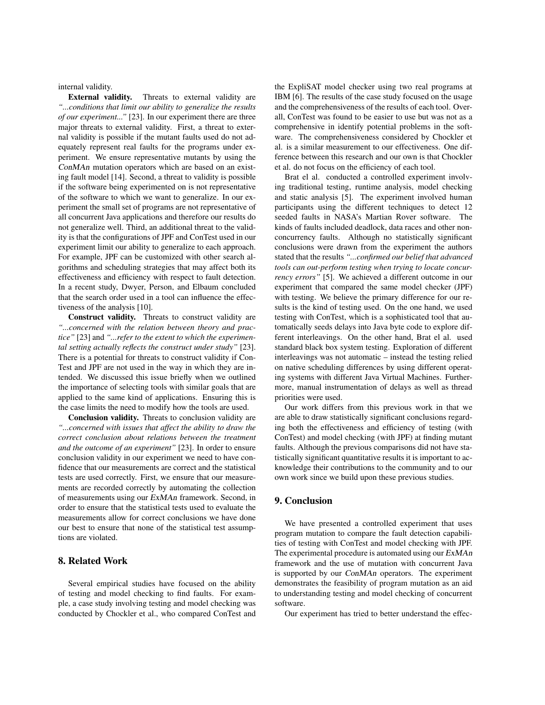internal validity.

External validity. Threats to external validity are *"...conditions that limit our ability to generalize the results of our experiment..."* [23]. In our experiment there are three major threats to external validity. First, a threat to external validity is possible if the mutant faults used do not adequately represent real faults for the programs under experiment. We ensure representative mutants by using the *ConMAn* mutation operators which are based on an existing fault model [14]. Second, a threat to validity is possible if the software being experimented on is not representative of the software to which we want to generalize. In our experiment the small set of programs are not representative of all concurrent Java applications and therefore our results do not generalize well. Third, an additional threat to the validity is that the configurations of JPF and ConTest used in our experiment limit our ability to generalize to each approach. For example, JPF can be customized with other search algorithms and scheduling strategies that may affect both its effectiveness and efficiency with respect to fault detection. In a recent study, Dwyer, Person, and Elbaum concluded that the search order used in a tool can influence the effectiveness of the analysis [10].

Construct validity. Threats to construct validity are *"...concerned with the relation between theory and practice"* [23] and *"...refer to the extent to which the experimental setting actually reflects the construct under study"* [23]. There is a potential for threats to construct validity if Con-Test and JPF are not used in the way in which they are intended. We discussed this issue briefly when we outlined the importance of selecting tools with similar goals that are applied to the same kind of applications. Ensuring this is the case limits the need to modify how the tools are used.

Conclusion validity. Threats to conclusion validity are *"...concerned with issues that affect the ability to draw the correct conclusion about relations between the treatment and the outcome of an experiment"* [23]. In order to ensure conclusion validity in our experiment we need to have confidence that our measurements are correct and the statistical tests are used correctly. First, we ensure that our measurements are recorded correctly by automating the collection of measurements using our *ExMAn* framework. Second, in order to ensure that the statistical tests used to evaluate the measurements allow for correct conclusions we have done our best to ensure that none of the statistical test assumptions are violated.

# 8. Related Work

Several empirical studies have focused on the ability of testing and model checking to find faults. For example, a case study involving testing and model checking was conducted by Chockler et al., who compared ConTest and the ExpliSAT model checker using two real programs at IBM [6]. The results of the case study focused on the usage and the comprehensiveness of the results of each tool. Overall, ConTest was found to be easier to use but was not as a comprehensive in identify potential problems in the software. The comprehensiveness considered by Chockler et al. is a similar measurement to our effectiveness. One difference between this research and our own is that Chockler et al. do not focus on the efficiency of each tool.

Brat el al. conducted a controlled experiment involving traditional testing, runtime analysis, model checking and static analysis [5]. The experiment involved human participants using the different techniques to detect 12 seeded faults in NASA's Martian Rover software. The kinds of faults included deadlock, data races and other nonconcurrency faults. Although no statistically significant conclusions were drawn from the experiment the authors stated that the results *"...confirmed our belief that advanced tools can out-perform testing when trying to locate concurrency errors"* [5]. We achieved a different outcome in our experiment that compared the same model checker (JPF) with testing. We believe the primary difference for our results is the kind of testing used. On the one hand, we used testing with ConTest, which is a sophisticated tool that automatically seeds delays into Java byte code to explore different interleavings. On the other hand, Brat el al. used standard black box system testing. Exploration of different interleavings was not automatic – instead the testing relied on native scheduling differences by using different operating systems with different Java Virtual Machines. Furthermore, manual instrumentation of delays as well as thread priorities were used.

Our work differs from this previous work in that we are able to draw statistically significant conclusions regarding both the effectiveness and efficiency of testing (with ConTest) and model checking (with JPF) at finding mutant faults. Although the previous comparisons did not have statistically significant quantitative results it is important to acknowledge their contributions to the community and to our own work since we build upon these previous studies.

# 9. Conclusion

We have presented a controlled experiment that uses program mutation to compare the fault detection capabilities of testing with ConTest and model checking with JPF. The experimental procedure is automated using our *ExMAn* framework and the use of mutation with concurrent Java is supported by our *ConMAn* operators. The experiment demonstrates the feasibility of program mutation as an aid to understanding testing and model checking of concurrent software.

Our experiment has tried to better understand the effec-